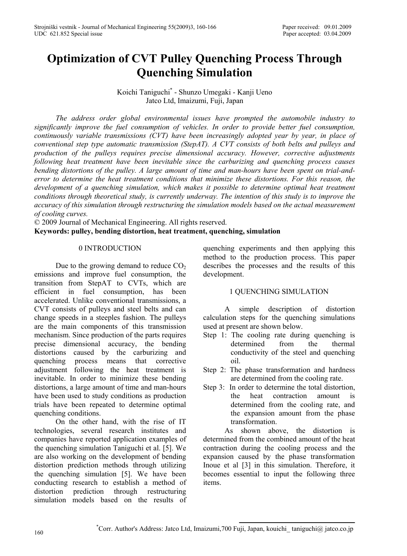# **Optimization of CVT Pulley Quenching Process Through Quenching Simulation**

Koichi Taniguchi\* - Shunzo Umegaki - Kanji Ueno Jatco Ltd, Imaizumi, Fuji, Japan

*The address order global environmental issues have prompted the automobile industry to significantly improve the fuel consumption of vehicles. In order to provide better fuel consumption, continuously variable transmissions (CVT) have been increasingly adopted year by year, in place of conventional step type automatic transmission (StepAT). A CVT consists of both belts and pulleys and production of the pulleys requires precise dimensional accuracy. However, corrective adjustments following heat treatment have been inevitable since the carburizing and quenching process causes bending distortions of the pulley. A large amount of time and man-hours have been spent on trial-anderror to determine the heat treatment conditions that minimize these distortions. For this reason, the development of a quenching simulation, which makes it possible to determine optimal heat treatment conditions through theoretical study, is currently underway. The intention of this study is to improve the accuracy of this simulation through restructuring the simulation models based on the actual measurement of cooling curves.* 

© 2009 Journal of Mechanical Engineering. All rights reserved.

**Keywords: pulley, bending distortion, heat treatment, quenching, simulation** 

# 0 INTRODUCTION

Due to the growing demand to reduce  $CO<sub>2</sub>$ emissions and improve fuel consumption, the transition from StepAT to CVTs, which are efficient in fuel consumption, has been accelerated. Unlike conventional transmissions, a CVT consists of pulleys and steel belts and can change speeds in a steeples fashion. The pulleys are the main components of this transmission mechanism. Since production of the parts requires precise dimensional accuracy, the bending distortions caused by the carburizing and quenching process means that corrective adjustment following the heat treatment is inevitable. In order to minimize these bending distortions, a large amount of time and man-hours have been used to study conditions as production trials have been repeated to determine optimal quenching conditions.

On the other hand, with the rise of IT technologies, several research institutes and companies have reported application examples of the quenching simulation Taniguchi et al. [5]. We are also working on the development of bending distortion prediction methods through utilizing the quenching simulation [5]. We have been conducting research to establish a method of distortion prediction through restructuring simulation models based on the results of

quenching experiments and then applying this method to the production process. This paper describes the processes and the results of this development.

# 1 QUENCHING SIMULATION

A simple description of distortion calculation steps for the quenching simulations used at present are shown below.

- Step 1: The cooling rate during quenching is determined from the thermal conductivity of the steel and quenching oil.
- Step 2: The phase transformation and hardness are determined from the cooling rate.
- Step 3: In order to determine the total distortion, the heat contraction amount is determined from the cooling rate, and the expansion amount from the phase transformation.

As shown above, the distortion is determined from the combined amount of the heat contraction during the cooling process and the expansion caused by the phase transformation Inoue et al [3] in this simulation. Therefore, it becomes essential to input the following three items.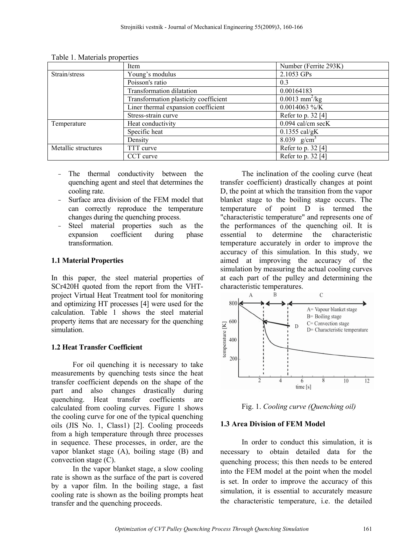|                     | Item                                  | Number (Ferrite 293K)        |
|---------------------|---------------------------------------|------------------------------|
| Strain/stress       | Young's modulus                       | 2.1053 GPs                   |
|                     | Poisson's ratio                       | 0.3                          |
|                     | Transformation dilatation             | 0.00164183                   |
|                     | Transformation plasticity coefficient | $0.0013$ mm <sup>2</sup> /kg |
|                     | Liner thermal expansion coefficient   | $0.0014063 \%$               |
|                     | Stress-strain curve                   | Refer to p. $32$ [4]         |
| Temperature         | Heat conductivity                     | $0.094$ cal/cm secK          |
|                     | Specific heat                         | $0.1355$ cal/gK              |
|                     | Density                               | 8.039 $g/cm^{3}$             |
| Metallic structures | TTT curve                             | Refer to p. 32 [4]           |
|                     | CCT curve                             | Refer to p. 32 [4]           |

Table 1. Materials properties

- The thermal conductivity between the quenching agent and steel that determines the cooling rate.
- Surface area division of the FEM model that can correctly reproduce the temperature changes during the quenching process.
- Steel material properties such as the expansion coefficient during phase transformation.

# **1.1 Material Properties**

In this paper, the steel material properties of SCr420H quoted from the report from the VHTproject Virtual Heat Treatment tool for monitoring and optimizing HT processes [4] were used for the calculation. Table 1 shows the steel material property items that are necessary for the quenching simulation.

# **1.2 Heat Transfer Coefficient**

For oil quenching it is necessary to take measurements by quenching tests since the heat transfer coefficient depends on the shape of the part and also changes drastically during quenching. Heat transfer coefficients are calculated from cooling curves. Figure 1 shows the cooling curve for one of the typical quenching oils (JIS No. 1, Class1) [2]. Cooling proceeds from a high temperature through three processes in sequence. These processes, in order, are the vapor blanket stage (A), boiling stage (B) and convection stage (C).

In the vapor blanket stage, a slow cooling rate is shown as the surface of the part is covered by a vapor film. In the boiling stage, a fast cooling rate is shown as the boiling prompts heat transfer and the quenching proceeds.

The inclination of the cooling curve (heat transfer coefficient) drastically changes at point D, the point at which the transition from the vapor blanket stage to the boiling stage occurs. The temperature of point D is termed the "characteristic temperature" and represents one of the performances of the quenching oil. It is essential to determine the characteristic temperature accurately in order to improve the accuracy of this simulation. In this study, we aimed at improving the accuracy of the simulation by measuring the actual cooling curves at each part of the pulley and determining the characteristic temperatures.



Fig. 1. *Cooling curve (Quenching oil)*

## **1.3 Area Division of FEM Model**

In order to conduct this simulation, it is necessary to obtain detailed data for the quenching process; this then needs to be entered into the FEM model at the point when the model is set. In order to improve the accuracy of this simulation, it is essential to accurately measure the characteristic temperature, i.e. the detailed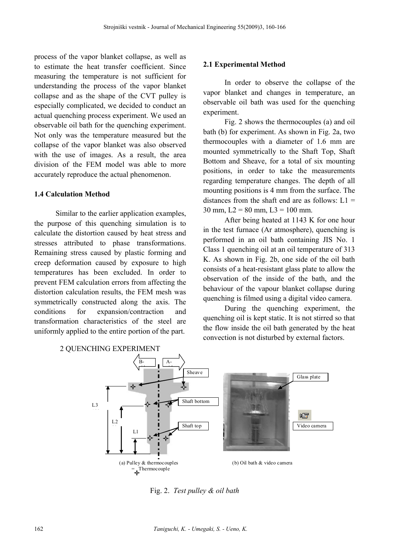process of the vapor blanket collapse, as well as to estimate the heat transfer coefficient. Since measuring the temperature is not sufficient for understanding the process of the vapor blanket collapse and as the shape of the CVT pulley is especially complicated, we decided to conduct an actual quenching process experiment. We used an observable oil bath for the quenching experiment. Not only was the temperature measured but the collapse of the vapor blanket was also observed with the use of images. As a result, the area division of the FEM model was able to more accurately reproduce the actual phenomenon.

## **1.4 Calculation Method**

Similar to the earlier application examples, the purpose of this quenching simulation is to calculate the distortion caused by heat stress and stresses attributed to phase transformations. Remaining stress caused by plastic forming and creep deformation caused by exposure to high temperatures has been excluded. In order to prevent FEM calculation errors from affecting the distortion calculation results, the FEM mesh was symmetrically constructed along the axis. The conditions for expansion/contraction and transformation characteristics of the steel are uniformly applied to the entire portion of the part.

#### **2.1 Experimental Method**

In order to observe the collapse of the vapor blanket and changes in temperature, an observable oil bath was used for the quenching experiment.

Fig. 2 shows the thermocouples (a) and oil bath (b) for experiment. As shown in Fig. 2a, two thermocouples with a diameter of 1.6 mm are mounted symmetrically to the Shaft Top, Shaft Bottom and Sheave, for a total of six mounting positions, in order to take the measurements regarding temperature changes. The depth of all mounting positions is 4 mm from the surface. The distances from the shaft end are as follows:  $L1 =$ 30 mm,  $L2 = 80$  mm,  $L3 = 100$  mm.

After being heated at 1143 K for one hour in the test furnace (Ar atmosphere), quenching is performed in an oil bath containing JIS No. 1 Class 1 quenching oil at an oil temperature of 313 K. As shown in Fig. 2b, one side of the oil bath consists of a heat-resistant glass plate to allow the observation of the inside of the bath, and the behaviour of the vapour blanket collapse during quenching is filmed using a digital video camera.

During the quenching experiment, the quenching oil is kept static. It is not stirred so that the flow inside the oil bath generated by the heat convection is not disturbed by external factors.



Fig. 2. *Test pulley & oil bath*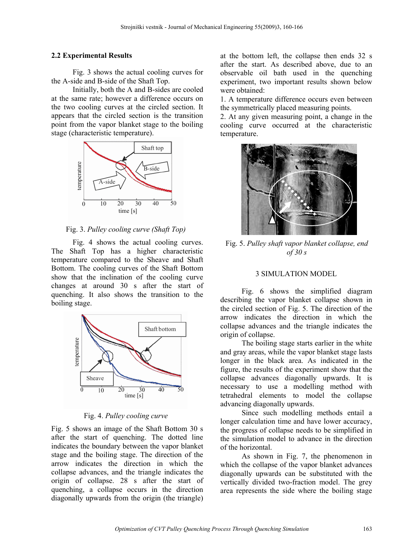## **2.2 Experimental Results**

Fig. 3 shows the actual cooling curves for the A-side and B-side of the Shaft Top.

Initially, both the A and B-sides are cooled at the same rate; however a difference occurs on the two cooling curves at the circled section. It appears that the circled section is the transition point from the vapor blanket stage to the boiling stage (characteristic temperature).



# Fig. 3. *Pulley cooling curve (Shaft Top)*

Fig. 4 shows the actual cooling curves. The Shaft Top has a higher characteristic temperature compared to the Sheave and Shaft Bottom. The cooling curves of the Shaft Bottom show that the inclination of the cooling curve changes at around 30 s after the start of quenching. It also shows the transition to the boiling stage.



Fig. 4. *Pulley cooling curve* 

Fig. 5 shows an image of the Shaft Bottom 30 s after the start of quenching. The dotted line indicates the boundary between the vapor blanket stage and the boiling stage. The direction of the arrow indicates the direction in which the collapse advances, and the triangle indicates the origin of collapse. 28 s after the start of quenching, a collapse occurs in the direction diagonally upwards from the origin (the triangle)

at the bottom left, the collapse then ends 32 s after the start. As described above, due to an observable oil bath used in the quenching experiment, two important results shown below were obtained:

1. A temperature difference occurs even between the symmetrically placed measuring points.

2. At any given measuring point, a change in the cooling curve occurred at the characteristic temperature.



Fig. 5. *Pulley shaft vapor blanket collapse, end of 30 s* 

#### 3 SIMULATION MODEL

Fig. 6 shows the simplified diagram describing the vapor blanket collapse shown in the circled section of Fig. 5. The direction of the arrow indicates the direction in which the collapse advances and the triangle indicates the origin of collapse.

The boiling stage starts earlier in the white and gray areas, while the vapor blanket stage lasts longer in the black area. As indicated in the figure, the results of the experiment show that the collapse advances diagonally upwards. It is necessary to use a modelling method with tetrahedral elements to model the collapse advancing diagonally upwards.

Since such modelling methods entail a longer calculation time and have lower accuracy, the progress of collapse needs to be simplified in the simulation model to advance in the direction of the horizontal.

As shown in Fig. 7, the phenomenon in which the collapse of the vapor blanket advances diagonally upwards can be substituted with the vertically divided two-fraction model. The grey area represents the side where the boiling stage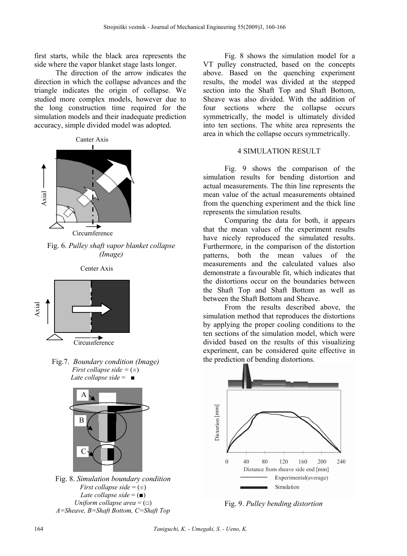first starts, while the black area represents the side where the vapor blanket stage lasts longer.

The direction of the arrow indicates the direction in which the collapse advances and the triangle indicates the origin of collapse. We studied more complex models, however due to the long construction time required for the simulation models and their inadequate prediction accuracy, simple divided model was adopted.



Fig. 6. *Pulley shaft vapor blanket collapse (Image)*





Fig.7. *Boundary condition (Image) First collapse side =* (■) *Late collapse side* =■



Fig. 8. *Simulation boundary condition First collapse side* = (■) *Late collapse side* = (■) *Uniform collapse area* = (□) *A=Sheave, B=Shaft Bottom, C=Shaft Top*

Fig. 8 shows the simulation model for a VT pulley constructed, based on the concepts above. Based on the quenching experiment results, the model was divided at the stepped section into the Shaft Top and Shaft Bottom, Sheave was also divided. With the addition of four sections where the collapse occurs symmetrically, the model is ultimately divided into ten sections. The white area represents the area in which the collapse occurs symmetrically.

#### 4 SIMULATION RESULT

Fig. 9 shows the comparison of the simulation results for bending distortion and actual measurements. The thin line represents the mean value of the actual measurements obtained from the quenching experiment and the thick line represents the simulation results.

Comparing the data for both, it appears that the mean values of the experiment results have nicely reproduced the simulated results. Furthermore, in the comparison of the distortion patterns, both the mean values of the measurements and the calculated values also demonstrate a favourable fit, which indicates that the distortions occur on the boundaries between the Shaft Top and Shaft Bottom as well as between the Shaft Bottom and Sheave.

From the results described above, the simulation method that reproduces the distortions by applying the proper cooling conditions to the ten sections of the simulation model, which were divided based on the results of this visualizing experiment, can be considered quite effective in the prediction of bending distortions.



Fig. 9. *Pulley bending distortion*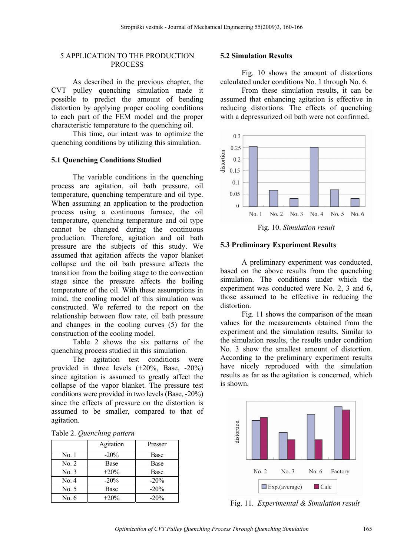## 5 APPLICATION TO THE PRODUCTION **PROCESS**

As described in the previous chapter, the CVT pulley quenching simulation made it possible to predict the amount of bending distortion by applying proper cooling conditions to each part of the FEM model and the proper characteristic temperature to the quenching oil.

This time, our intent was to optimize the quenching conditions by utilizing this simulation.

## **5.1 Quenching Conditions Studied**

The variable conditions in the quenching process are agitation, oil bath pressure, oil temperature, quenching temperature and oil type. When assuming an application to the production process using a continuous furnace, the oil temperature, quenching temperature and oil type cannot be changed during the continuous production. Therefore, agitation and oil bath pressure are the subjects of this study. We assumed that agitation affects the vapor blanket collapse and the oil bath pressure affects the transition from the boiling stage to the convection stage since the pressure affects the boiling temperature of the oil. With these assumptions in mind, the cooling model of this simulation was constructed. We referred to the report on the relationship between flow rate, oil bath pressure and changes in the cooling curves (5) for the construction of the cooling model.

Table 2 shows the six patterns of the quenching process studied in this simulation.

The agitation test conditions were provided in three levels (+20%, Base, -20%) since agitation is assumed to greatly affect the collapse of the vapor blanket. The pressure test conditions were provided in two levels (Base, -20%) since the effects of pressure on the distortion is assumed to be smaller, compared to that of agitation.

|  | Table 2. Quenching pattern |  |
|--|----------------------------|--|
|--|----------------------------|--|

|       | Agitation | Presser |
|-------|-----------|---------|
| No. 1 | $-20%$    | Base    |
| No. 2 | Base      | Base    |
| No. 3 | $+20%$    | Base    |
| No. 4 | $-20%$    | $-20%$  |
| No. 5 | Base      | $-20%$  |
| No. 6 | $+20%$    | $-20%$  |

#### **5.2 Simulation Results**

Fig. 10 shows the amount of distortions calculated under conditions No. 1 through No. 6.

From these simulation results, it can be assumed that enhancing agitation is effective in reducing distortions. The effects of quenching with a depressurized oil bath were not confirmed.



Fig. 10. *Simulation result*

#### **5.3 Preliminary Experiment Results**

A preliminary experiment was conducted, based on the above results from the quenching simulation. The conditions under which the experiment was conducted were No. 2, 3 and 6, those assumed to be effective in reducing the distortion.

Fig. 11 shows the comparison of the mean values for the measurements obtained from the experiment and the simulation results. Similar to the simulation results, the results under condition No. 3 show the smallest amount of distortion. According to the preliminary experiment results have nicely reproduced with the simulation results as far as the agitation is concerned, which is shown.



Fig. 11. *Experimental & Simulation result*